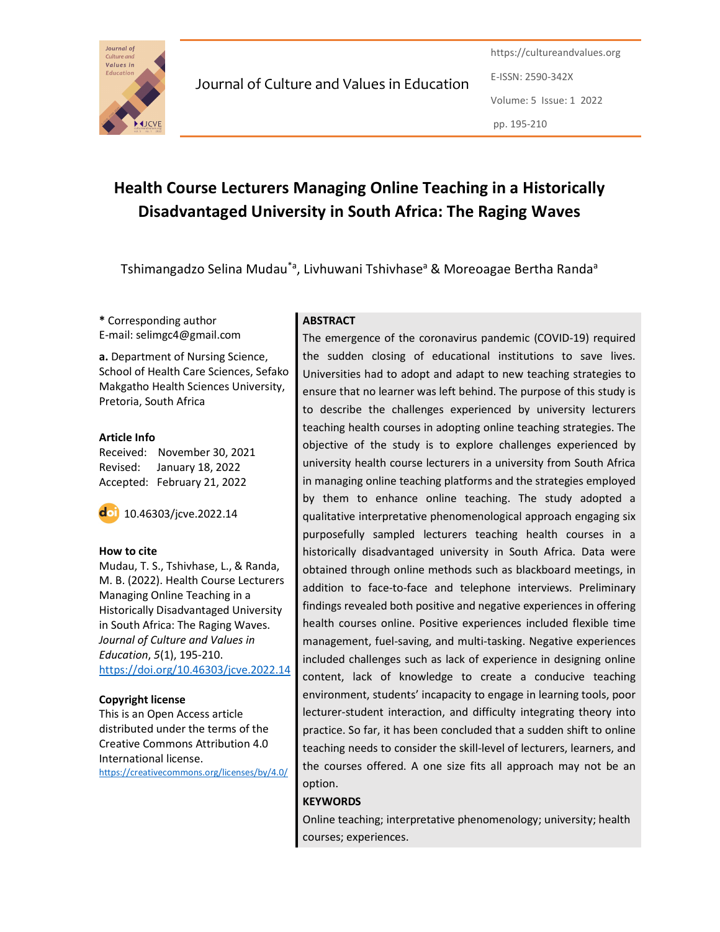

https://cultureandvalues.org E-ISSN: 2590-342X Volume: 5 Issue: 1 2022 pp. 195-210

# Health Course Lecturers Managing Online Teaching in a Historically Disadvantaged University in South Africa: The Raging Waves

Tshimangadzo Selina Mudau<sup>\*a</sup>, Livhuwani Tshivhase<sup>a</sup> & Moreoagae Bertha Randa<sup>a</sup>

\* Corresponding author E-mail: selimgc4@gmail.com

a. Department of Nursing Science, School of Health Care Sciences, Sefako Makgatho Health Sciences University, Pretoria, South Africa

### Article Info

Received: November 30, 2021 Revised: January 18, 2022 Accepted: February 21, 2022

10.46303/jcve.2022.14

### How to cite

Mudau, T. S., Tshivhase, L., & Randa, M. B. (2022). Health Course Lecturers Managing Online Teaching in a Historically Disadvantaged University in South Africa: The Raging Waves. Journal of Culture and Values in Education, 5(1), 195-210. https://doi.org/10.46303/jcve.2022.14

### Copyright license

This is an Open Access article distributed under the terms of the Creative Commons Attribution 4.0 International license.

https://creativecommons.org/licenses/by/4.0/

### **ABSTRACT**

The emergence of the coronavirus pandemic (COVID-19) required the sudden closing of educational institutions to save lives. Universities had to adopt and adapt to new teaching strategies to ensure that no learner was left behind. The purpose of this study is to describe the challenges experienced by university lecturers teaching health courses in adopting online teaching strategies. The objective of the study is to explore challenges experienced by university health course lecturers in a university from South Africa in managing online teaching platforms and the strategies employed by them to enhance online teaching. The study adopted a qualitative interpretative phenomenological approach engaging six purposefully sampled lecturers teaching health courses in a historically disadvantaged university in South Africa. Data were obtained through online methods such as blackboard meetings, in addition to face-to-face and telephone interviews. Preliminary findings revealed both positive and negative experiences in offering health courses online. Positive experiences included flexible time management, fuel-saving, and multi-tasking. Negative experiences included challenges such as lack of experience in designing online content, lack of knowledge to create a conducive teaching environment, students' incapacity to engage in learning tools, poor lecturer-student interaction, and difficulty integrating theory into practice. So far, it has been concluded that a sudden shift to online teaching needs to consider the skill-level of lecturers, learners, and the courses offered. A one size fits all approach may not be an option.

### **KEYWORDS**

Online teaching; interpretative phenomenology; university; health courses; experiences.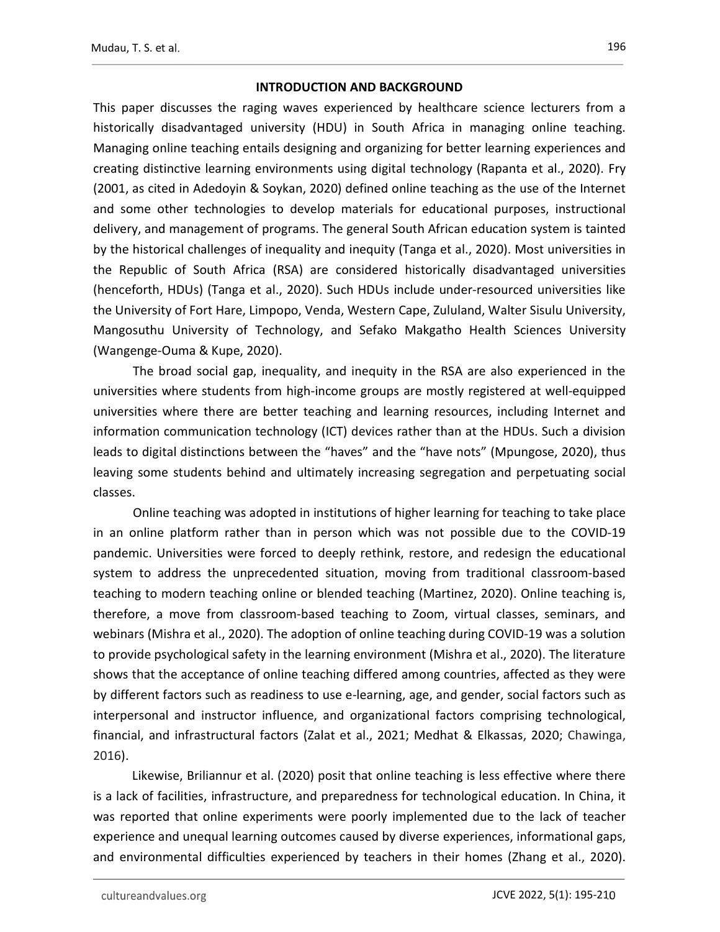### INTRODUCTION AND BACKGROUND

This paper discusses the raging waves experienced by healthcare science lecturers from a historically disadvantaged university (HDU) in South Africa in managing online teaching. Managing online teaching entails designing and organizing for better learning experiences and creating distinctive learning environments using digital technology (Rapanta et al., 2020). Fry (2001, as cited in Adedoyin & Soykan, 2020) defined online teaching as the use of the Internet and some other technologies to develop materials for educational purposes, instructional delivery, and management of programs. The general South African education system is tainted by the historical challenges of inequality and inequity (Tanga et al., 2020). Most universities in the Republic of South Africa (RSA) are considered historically disadvantaged universities (henceforth, HDUs) (Tanga et al., 2020). Such HDUs include under-resourced universities like the University of Fort Hare, Limpopo, Venda, Western Cape, Zululand, Walter Sisulu University, Mangosuthu University of Technology, and Sefako Makgatho Health Sciences University (Wangenge-Ouma & Kupe, 2020).

The broad social gap, inequality, and inequity in the RSA are also experienced in the universities where students from high-income groups are mostly registered at well-equipped universities where there are better teaching and learning resources, including Internet and information communication technology (ICT) devices rather than at the HDUs. Such a division leads to digital distinctions between the "haves" and the "have nots" (Mpungose, 2020), thus leaving some students behind and ultimately increasing segregation and perpetuating social classes.

Online teaching was adopted in institutions of higher learning for teaching to take place in an online platform rather than in person which was not possible due to the COVID-19 pandemic. Universities were forced to deeply rethink, restore, and redesign the educational system to address the unprecedented situation, moving from traditional classroom-based teaching to modern teaching online or blended teaching (Martinez, 2020). Online teaching is, therefore, a move from classroom-based teaching to Zoom, virtual classes, seminars, and webinars (Mishra et al., 2020). The adoption of online teaching during COVID-19 was a solution to provide psychological safety in the learning environment (Mishra et al., 2020). The literature shows that the acceptance of online teaching differed among countries, affected as they were by different factors such as readiness to use e-learning, age, and gender, social factors such as interpersonal and instructor influence, and organizational factors comprising technological, financial, and infrastructural factors (Zalat et al., 2021; Medhat & Elkassas, 2020; Chawinga, 2016).

 Likewise, Briliannur et al. (2020) posit that online teaching is less effective where there is a lack of facilities, infrastructure, and preparedness for technological education. In China, it was reported that online experiments were poorly implemented due to the lack of teacher experience and unequal learning outcomes caused by diverse experiences, informational gaps, and environmental difficulties experienced by teachers in their homes (Zhang et al., 2020).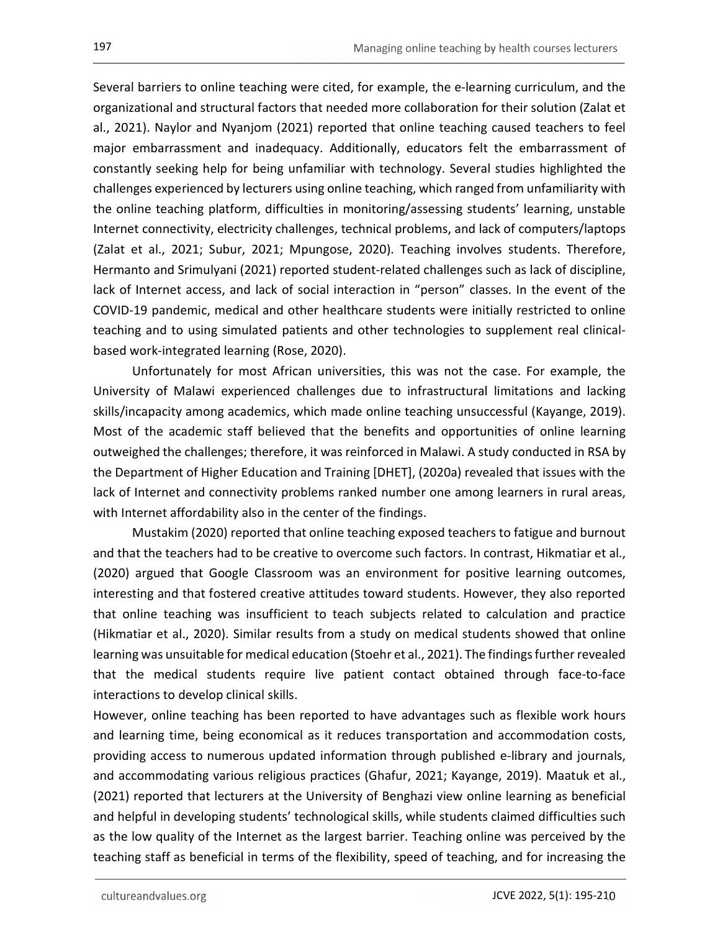Several barriers to online teaching were cited, for example, the e-learning curriculum, and the organizational and structural factors that needed more collaboration for their solution (Zalat et al., 2021). Naylor and Nyanjom (2021) reported that online teaching caused teachers to feel major embarrassment and inadequacy. Additionally, educators felt the embarrassment of constantly seeking help for being unfamiliar with technology. Several studies highlighted the challenges experienced by lecturers using online teaching, which ranged from unfamiliarity with the online teaching platform, difficulties in monitoring/assessing students' learning, unstable Internet connectivity, electricity challenges, technical problems, and lack of computers/laptops (Zalat et al., 2021; Subur, 2021; Mpungose, 2020). Teaching involves students. Therefore, Hermanto and Srimulyani (2021) reported student-related challenges such as lack of discipline, lack of Internet access, and lack of social interaction in "person" classes. In the event of the COVID-19 pandemic, medical and other healthcare students were initially restricted to online teaching and to using simulated patients and other technologies to supplement real clinicalbased work-integrated learning (Rose, 2020).

 Unfortunately for most African universities, this was not the case. For example, the University of Malawi experienced challenges due to infrastructural limitations and lacking skills/incapacity among academics, which made online teaching unsuccessful (Kayange, 2019). Most of the academic staff believed that the benefits and opportunities of online learning outweighed the challenges; therefore, it was reinforced in Malawi. A study conducted in RSA by the Department of Higher Education and Training [DHET], (2020a) revealed that issues with the lack of Internet and connectivity problems ranked number one among learners in rural areas, with Internet affordability also in the center of the findings.

 Mustakim (2020) reported that online teaching exposed teachers to fatigue and burnout and that the teachers had to be creative to overcome such factors. In contrast, Hikmatiar et al., (2020) argued that Google Classroom was an environment for positive learning outcomes, interesting and that fostered creative attitudes toward students. However, they also reported that online teaching was insufficient to teach subjects related to calculation and practice (Hikmatiar et al., 2020). Similar results from a study on medical students showed that online learning was unsuitable for medical education (Stoehr et al., 2021). The findings further revealed that the medical students require live patient contact obtained through face-to-face interactions to develop clinical skills.

However, online teaching has been reported to have advantages such as flexible work hours and learning time, being economical as it reduces transportation and accommodation costs, providing access to numerous updated information through published e-library and journals, and accommodating various religious practices (Ghafur, 2021; Kayange, 2019). Maatuk et al., (2021) reported that lecturers at the University of Benghazi view online learning as beneficial and helpful in developing students' technological skills, while students claimed difficulties such as the low quality of the Internet as the largest barrier. Teaching online was perceived by the teaching staff as beneficial in terms of the flexibility, speed of teaching, and for increasing the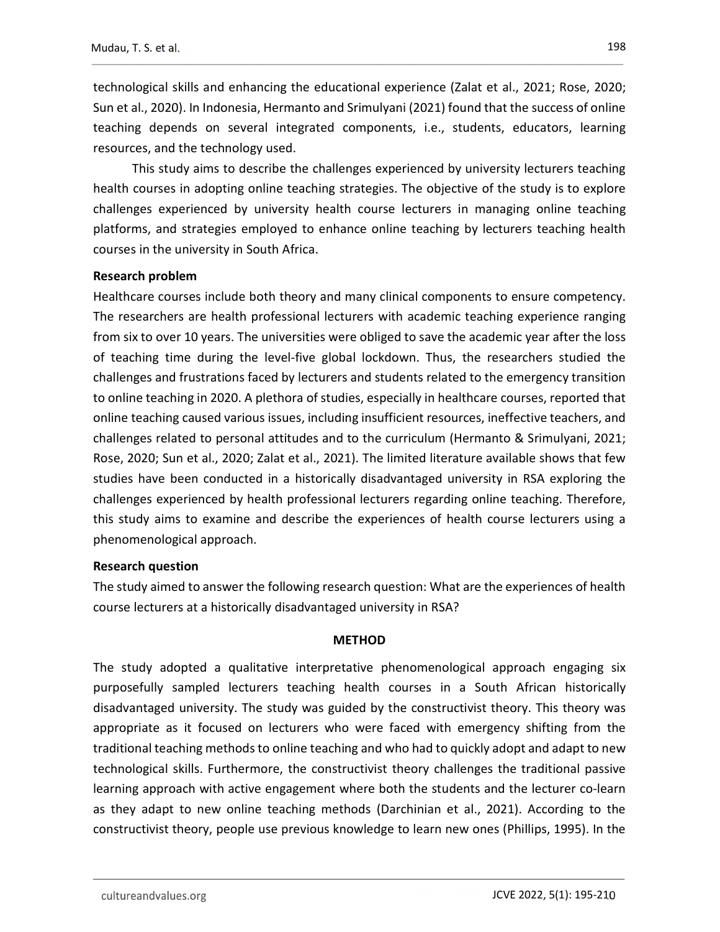technological skills and enhancing the educational experience (Zalat et al., 2021; Rose, 2020; Sun et al., 2020). In Indonesia, Hermanto and Srimulyani (2021) found that the success of online teaching depends on several integrated components, i.e., students, educators, learning resources, and the technology used.

 This study aims to describe the challenges experienced by university lecturers teaching health courses in adopting online teaching strategies. The objective of the study is to explore challenges experienced by university health course lecturers in managing online teaching platforms, and strategies employed to enhance online teaching by lecturers teaching health courses in the university in South Africa.

### Research problem

Healthcare courses include both theory and many clinical components to ensure competency. The researchers are health professional lecturers with academic teaching experience ranging from six to over 10 years. The universities were obliged to save the academic year after the loss of teaching time during the level-five global lockdown. Thus, the researchers studied the challenges and frustrations faced by lecturers and students related to the emergency transition to online teaching in 2020. A plethora of studies, especially in healthcare courses, reported that online teaching caused various issues, including insufficient resources, ineffective teachers, and challenges related to personal attitudes and to the curriculum (Hermanto & Srimulyani, 2021; Rose, 2020; Sun et al., 2020; Zalat et al., 2021). The limited literature available shows that few studies have been conducted in a historically disadvantaged university in RSA exploring the challenges experienced by health professional lecturers regarding online teaching. Therefore, this study aims to examine and describe the experiences of health course lecturers using a phenomenological approach.

### Research question

The study aimed to answer the following research question: What are the experiences of health course lecturers at a historically disadvantaged university in RSA?

### **METHOD**

The study adopted a qualitative interpretative phenomenological approach engaging six purposefully sampled lecturers teaching health courses in a South African historically disadvantaged university. The study was guided by the constructivist theory. This theory was appropriate as it focused on lecturers who were faced with emergency shifting from the traditional teaching methods to online teaching and who had to quickly adopt and adapt to new technological skills. Furthermore, the constructivist theory challenges the traditional passive learning approach with active engagement where both the students and the lecturer co-learn as they adapt to new online teaching methods (Darchinian et al., 2021). According to the constructivist theory, people use previous knowledge to learn new ones (Phillips, 1995). In the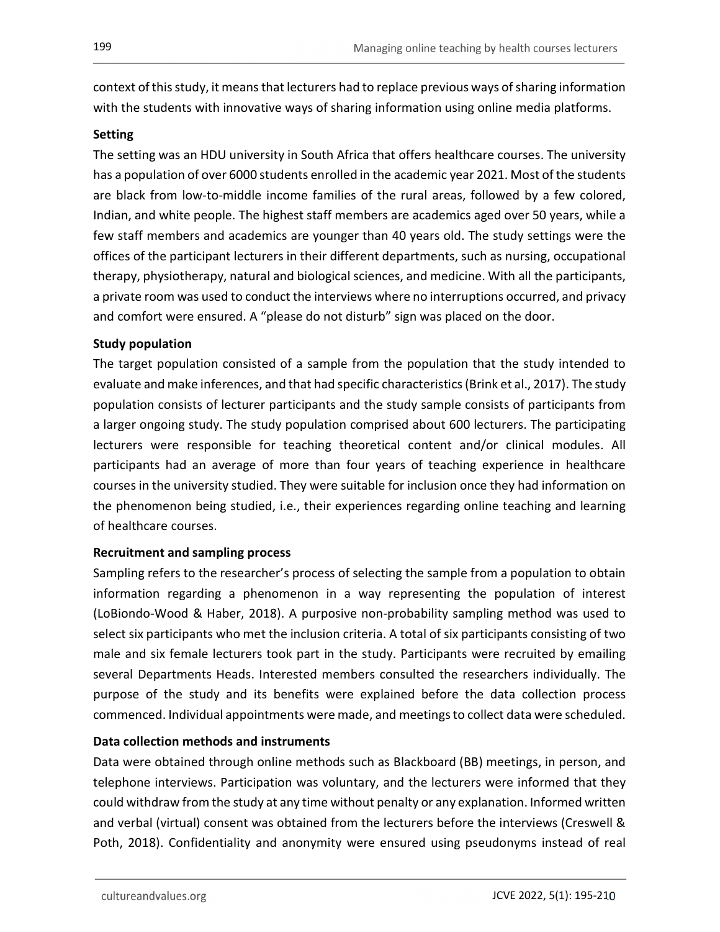context of this study, it means that lecturers had to replace previous ways of sharing information with the students with innovative ways of sharing information using online media platforms.

### **Setting**

The setting was an HDU university in South Africa that offers healthcare courses. The university has a population of over 6000 students enrolled in the academic year 2021. Most of the students are black from low-to-middle income families of the rural areas, followed by a few colored, Indian, and white people. The highest staff members are academics aged over 50 years, while a few staff members and academics are younger than 40 years old. The study settings were the offices of the participant lecturers in their different departments, such as nursing, occupational therapy, physiotherapy, natural and biological sciences, and medicine. With all the participants, a private room was used to conduct the interviews where no interruptions occurred, and privacy and comfort were ensured. A "please do not disturb" sign was placed on the door.

### Study population

The target population consisted of a sample from the population that the study intended to evaluate and make inferences, and that had specific characteristics (Brink et al., 2017). The study population consists of lecturer participants and the study sample consists of participants from a larger ongoing study. The study population comprised about 600 lecturers. The participating lecturers were responsible for teaching theoretical content and/or clinical modules. All participants had an average of more than four years of teaching experience in healthcare courses in the university studied. They were suitable for inclusion once they had information on the phenomenon being studied, i.e., their experiences regarding online teaching and learning of healthcare courses.

### Recruitment and sampling process

Sampling refers to the researcher's process of selecting the sample from a population to obtain information regarding a phenomenon in a way representing the population of interest (LoBiondo-Wood & Haber, 2018). A purposive non-probability sampling method was used to select six participants who met the inclusion criteria. A total of six participants consisting of two male and six female lecturers took part in the study. Participants were recruited by emailing several Departments Heads. Interested members consulted the researchers individually. The purpose of the study and its benefits were explained before the data collection process commenced. Individual appointments were made, and meetings to collect data were scheduled.

Data collection methods and instruments<br>Data were obtained through online methods such as Blackboard (BB) meetings, in person, and telephone interviews. Participation was voluntary, and the lecturers were informed that they could withdraw from the study at any time without penalty or any explanation. Informed written and verbal (virtual) consent was obtained from the lecturers before the interviews (Creswell & Poth, 2018). Confidentiality and anonymity were ensured using pseudonyms instead of real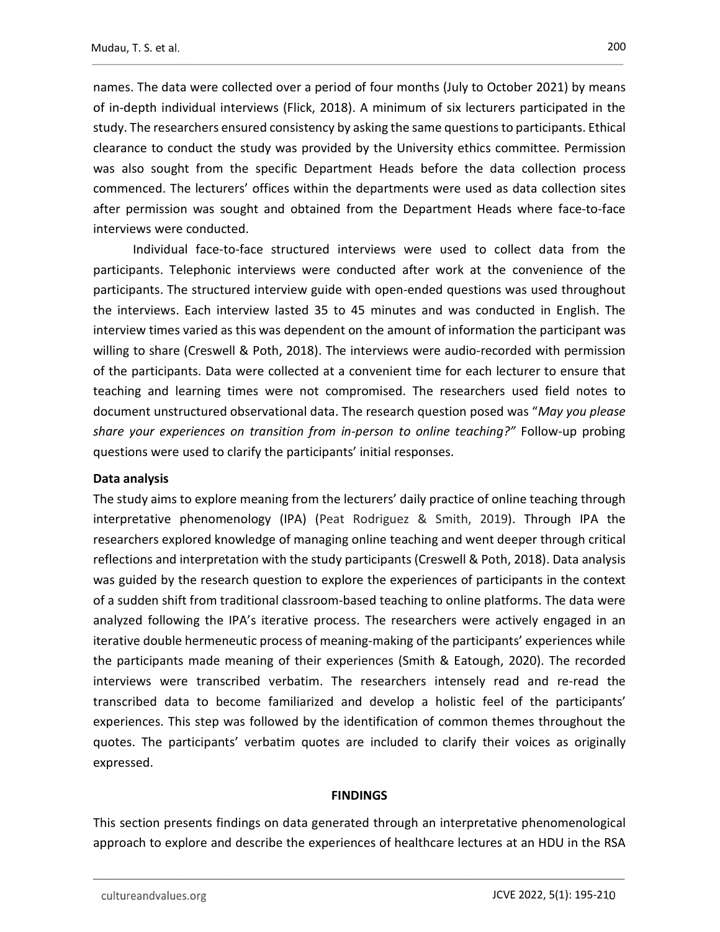names. The data were collected over a period of four months (July to October 2021) by means of in-depth individual interviews (Flick, 2018). A minimum of six lecturers participated in the study. The researchers ensured consistency by asking the same questions to participants. Ethical clearance to conduct the study was provided by the University ethics committee. Permission was also sought from the specific Department Heads before the data collection process commenced. The lecturers' offices within the departments were used as data collection sites after permission was sought and obtained from the Department Heads where face-to-face interviews were conducted.

Individual face-to-face structured interviews were used to collect data from the participants. Telephonic interviews were conducted after work at the convenience of the participants. The structured interview guide with open-ended questions was used throughout the interviews. Each interview lasted 35 to 45 minutes and was conducted in English. The interview times varied as this was dependent on the amount of information the participant was willing to share (Creswell & Poth, 2018). The interviews were audio-recorded with permission of the participants. Data were collected at a convenient time for each lecturer to ensure that teaching and learning times were not compromised. The researchers used field notes to document unstructured observational data. The research question posed was "May you please share your experiences on transition from in-person to online teaching?" Follow-up probing questions were used to clarify the participants' initial responses.

### Data analysis

The study aims to explore meaning from the lecturers' daily practice of online teaching through interpretative phenomenology (IPA) (Peat Rodriguez & Smith, 2019). Through IPA the researchers explored knowledge of managing online teaching and went deeper through critical reflections and interpretation with the study participants (Creswell & Poth, 2018). Data analysis was guided by the research question to explore the experiences of participants in the context of a sudden shift from traditional classroom-based teaching to online platforms. The data were analyzed following the IPA's iterative process. The researchers were actively engaged in an iterative double hermeneutic process of meaning-making of the participants' experiences while the participants made meaning of their experiences (Smith & Eatough, 2020). The recorded interviews were transcribed verbatim. The researchers intensely read and re-read the transcribed data to become familiarized and develop a holistic feel of the participants' experiences. This step was followed by the identification of common themes throughout the quotes. The participants' verbatim quotes are included to clarify their voices as originally expressed.

### **FINDINGS**

This section presents findings on data generated through an interpretative phenomenological approach to explore and describe the experiences of healthcare lectures at an HDU in the RSA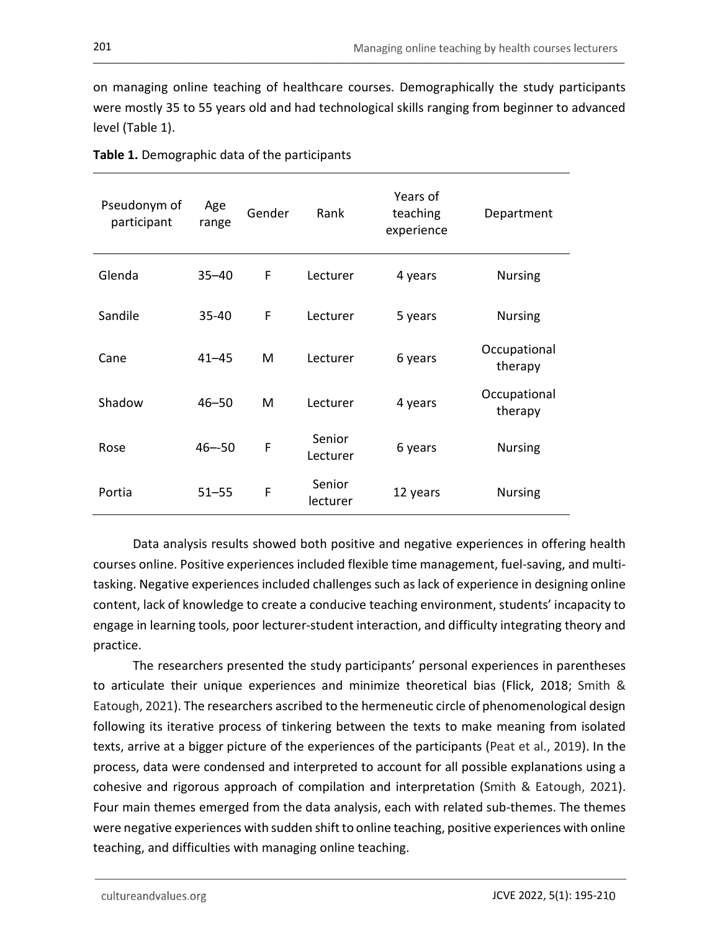on managing online teaching of healthcare courses. Demographically the study participants were mostly 35 to 55 years old and had technological skills ranging from beginner to advanced level (Table 1).

| Pseudonym of<br>participant | Age<br>range | Gender      | Rank               | Years of<br>teaching<br>experience | Department              |
|-----------------------------|--------------|-------------|--------------------|------------------------------------|-------------------------|
| Glenda                      | $35 - 40$    | F           | Lecturer           | 4 years                            | <b>Nursing</b>          |
| Sandile                     | 35-40        | F           | Lecturer           | 5 years                            | <b>Nursing</b>          |
| Cane                        | $41 - 45$    | M           | Lecturer           | 6 years                            | Occupational<br>therapy |
| Shadow                      | $46 - 50$    | M           | Lecturer           | 4 years                            | Occupational<br>therapy |
| Rose                        | $46 - 50$    | $\mathsf F$ | Senior<br>Lecturer | 6 years                            | <b>Nursing</b>          |
| Portia                      | $51 - 55$    | $\mathsf F$ | Senior<br>lecturer | 12 years                           | <b>Nursing</b>          |

Table 1. Demographic data of the participants

 Data analysis results showed both positive and negative experiences in offering health courses online. Positive experiences included flexible time management, fuel-saving, and multitasking. Negative experiences included challenges such as lack of experience in designing online content, lack of knowledge to create a conducive teaching environment, students' incapacity to engage in learning tools, poor lecturer-student interaction, and difficulty integrating theory and practice.

The researchers presented the study participants' personal experiences in parentheses to articulate their unique experiences and minimize theoretical bias (Flick, 2018; Smith & Eatough, 2021). The researchers ascribed to the hermeneutic circle of phenomenological design following its iterative process of tinkering between the texts to make meaning from isolated texts, arrive at a bigger picture of the experiences of the participants (Peat et al., 2019). In the process, data were condensed and interpreted to account for all possible explanations using a cohesive and rigorous approach of compilation and interpretation (Smith & Eatough, 2021). Four main themes emerged from the data analysis, each with related sub-themes. The themes were negative experiences with sudden shift to online teaching, positive experiences with online teaching, and difficulties with managing online teaching.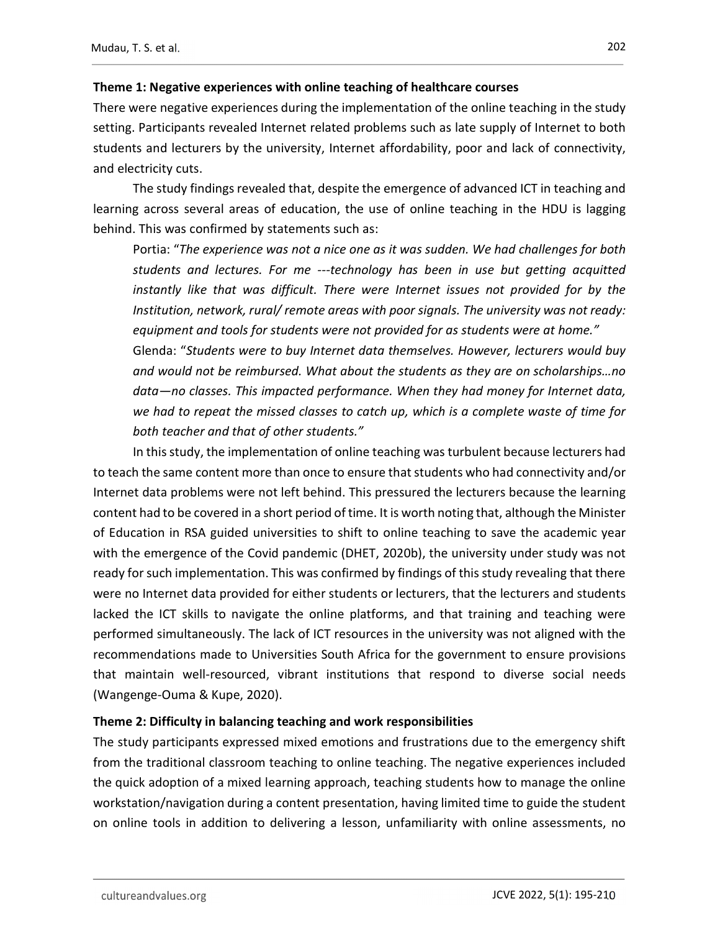Theme 1: Negative experiences with online teaching of healthcare courses<br>There were negative experiences during the implementation of the online teaching in the study setting. Participants revealed Internet related problems such as late supply of Internet to both students and lecturers by the university, Internet affordability, poor and lack of connectivity, and electricity cuts.

The study findings revealed that, despite the emergence of advanced ICT in teaching and learning across several areas of education, the use of online teaching in the HDU is lagging behind. This was confirmed by statements such as:

Portia: "The experience was not a nice one as it was sudden. We had challenges for both students and lectures. For me ---technology has been in use but getting acquitted instantly like that was difficult. There were Internet issues not provided for by the Institution, network, rural/ remote areas with poor signals. The university was not ready: equipment and tools for students were not provided for as students were at home." Glenda: "Students were to buy Internet data themselves. However, lecturers would buy and would not be reimbursed. What about the students as they are on scholarships…no data—no classes. This impacted performance. When they had money for Internet data, we had to repeat the missed classes to catch up, which is a complete waste of time for both teacher and that of other students."

In this study, the implementation of online teaching was turbulent because lecturers had to teach the same content more than once to ensure that students who had connectivity and/or Internet data problems were not left behind. This pressured the lecturers because the learning content had to be covered in a short period of time. It is worth noting that, although the Minister of Education in RSA guided universities to shift to online teaching to save the academic year with the emergence of the Covid pandemic (DHET, 2020b), the university under study was not ready for such implementation. This was confirmed by findings of this study revealing that there were no Internet data provided for either students or lecturers, that the lecturers and students lacked the ICT skills to navigate the online platforms, and that training and teaching were performed simultaneously. The lack of ICT resources in the university was not aligned with the recommendations made to Universities South Africa for the government to ensure provisions that maintain well-resourced, vibrant institutions that respond to diverse social needs (Wangenge-Ouma & Kupe, 2020).

### Theme 2: Difficulty in balancing teaching and work responsibilities

The study participants expressed mixed emotions and frustrations due to the emergency shift from the traditional classroom teaching to online teaching. The negative experiences included the quick adoption of a mixed learning approach, teaching students how to manage the online workstation/navigation during a content presentation, having limited time to guide the student on online tools in addition to delivering a lesson, unfamiliarity with online assessments, no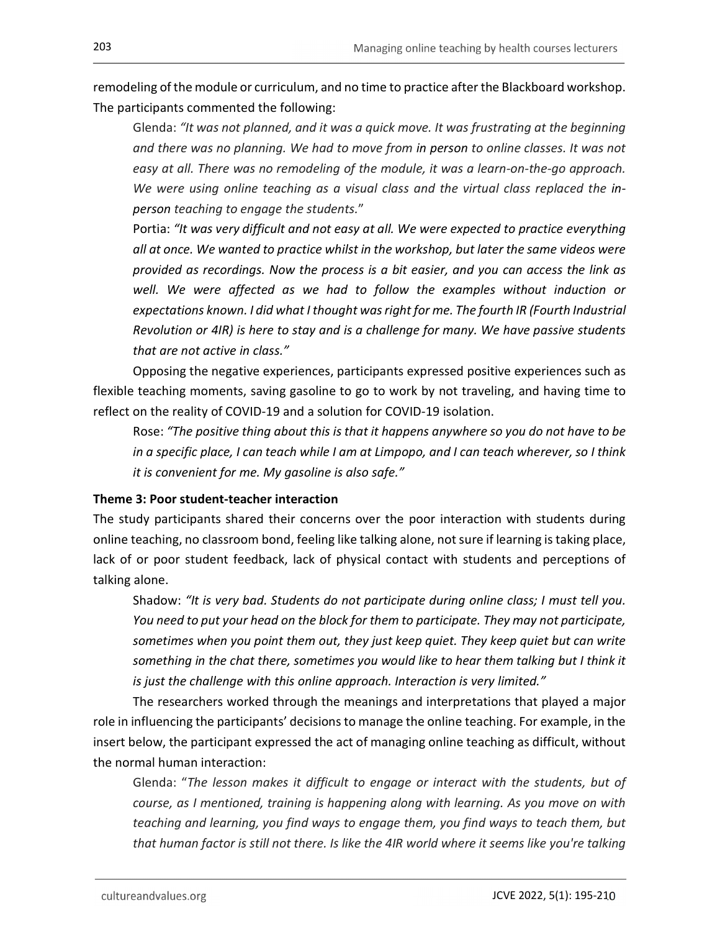remodeling of the module or curriculum, and no time to practice after the Blackboard workshop. The participants commented the following:

Glenda: "It was not planned, and it was a quick move. It was frustrating at the beginning and there was no planning. We had to move from in person to online classes. It was not easy at all. There was no remodeling of the module, it was a learn-on-the-go approach. We were using online teaching as a visual class and the virtual class replaced the inperson teaching to engage the students."

Portia: "It was very difficult and not easy at all. We were expected to practice everything all at once. We wanted to practice whilst in the workshop, but later the same videos were provided as recordings. Now the process is a bit easier, and you can access the link as well. We were affected as we had to follow the examples without induction or expectations known. I did what I thought was right for me. The fourth IR (Fourth Industrial Revolution or 4IR) is here to stay and is a challenge for many. We have passive students that are not active in class."

Opposing the negative experiences, participants expressed positive experiences such as flexible teaching moments, saving gasoline to go to work by not traveling, and having time to reflect on the reality of COVID-19 and a solution for COVID-19 isolation.

Rose: "The positive thing about this is that it happens anywhere so you do not have to be in a specific place, I can teach while I am at Limpopo, and I can teach wherever, so I think it is convenient for me. My gasoline is also safe."

### Theme 3: Poor student-teacher interaction

The study participants shared their concerns over the poor interaction with students during online teaching, no classroom bond, feeling like talking alone, not sure if learning is taking place, lack of or poor student feedback, lack of physical contact with students and perceptions of talking alone.

Shadow: "It is very bad. Students do not participate during online class; I must tell you. You need to put your head on the block for them to participate. They may not participate, sometimes when you point them out, they just keep quiet. They keep quiet but can write something in the chat there, sometimes you would like to hear them talking but I think it is just the challenge with this online approach. Interaction is very limited."

The researchers worked through the meanings and interpretations that played a major role in influencing the participants' decisions to manage the online teaching. For example, in the insert below, the participant expressed the act of managing online teaching as difficult, without the normal human interaction:

Glenda: "The lesson makes it difficult to engage or interact with the students, but of course, as I mentioned, training is happening along with learning. As you move on with teaching and learning, you find ways to engage them, you find ways to teach them, but that human factor is still not there. Is like the 4IR world where it seems like you're talking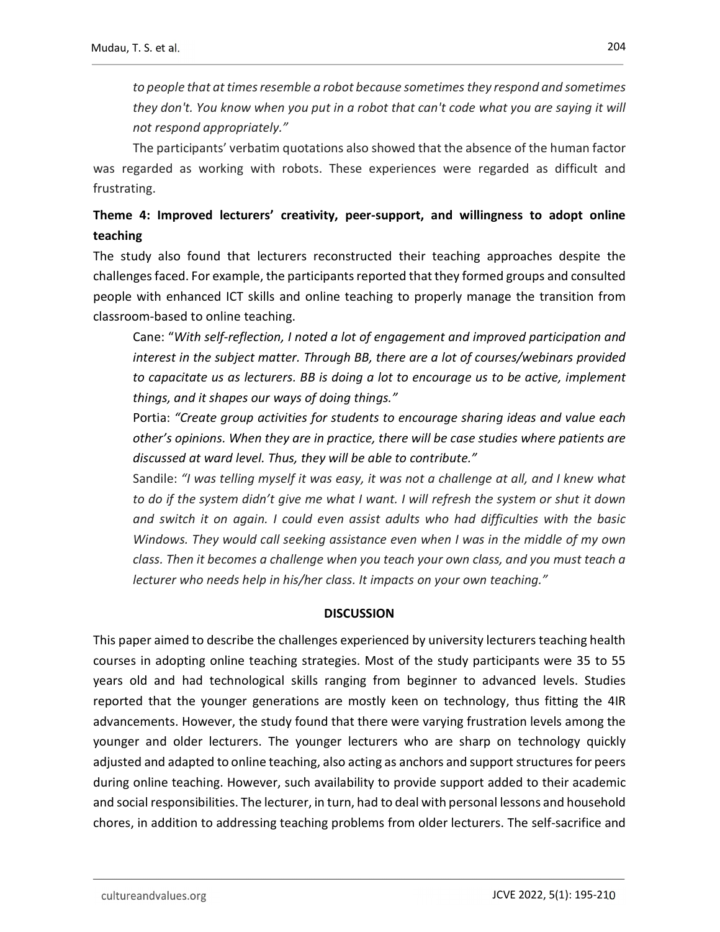to people that at times resemble a robot because sometimes they respond and sometimes they don't. You know when you put in a robot that can't code what you are saying it will not respond appropriately."

The participants' verbatim quotations also showed that the absence of the human factor was regarded as working with robots. These experiences were regarded as difficult and frustrating.

## Theme 4: Improved lecturers' creativity, peer-support, and willingness to adopt online teaching

The study also found that lecturers reconstructed their teaching approaches despite the challenges faced. For example, the participants reported that they formed groups and consulted people with enhanced ICT skills and online teaching to properly manage the transition from classroom-based to online teaching.

Cane: "With self-reflection, I noted a lot of engagement and improved participation and interest in the subject matter. Through BB, there are a lot of courses/webinars provided to capacitate us as lecturers. BB is doing a lot to encourage us to be active, implement things, and it shapes our ways of doing things."

Portia: "Create group activities for students to encourage sharing ideas and value each other's opinions. When they are in practice, there will be case studies where patients are discussed at ward level. Thus, they will be able to contribute."

Sandile: "I was telling myself it was easy, it was not a challenge at all, and I knew what to do if the system didn't give me what I want. I will refresh the system or shut it down and switch it on again. I could even assist adults who had difficulties with the basic Windows. They would call seeking assistance even when I was in the middle of my own class. Then it becomes a challenge when you teach your own class, and you must teach a lecturer who needs help in his/her class. It impacts on your own teaching."

### **DISCUSSION**

This paper aimed to describe the challenges experienced by university lecturers teaching health courses in adopting online teaching strategies. Most of the study participants were 35 to 55 years old and had technological skills ranging from beginner to advanced levels. Studies reported that the younger generations are mostly keen on technology, thus fitting the 4IR advancements. However, the study found that there were varying frustration levels among the younger and older lecturers. The younger lecturers who are sharp on technology quickly adjusted and adapted to online teaching, also acting as anchors and support structures for peers during online teaching. However, such availability to provide support added to their academic and social responsibilities. The lecturer, in turn, had to deal with personal lessons and household chores, in addition to addressing teaching problems from older lecturers. The self-sacrifice and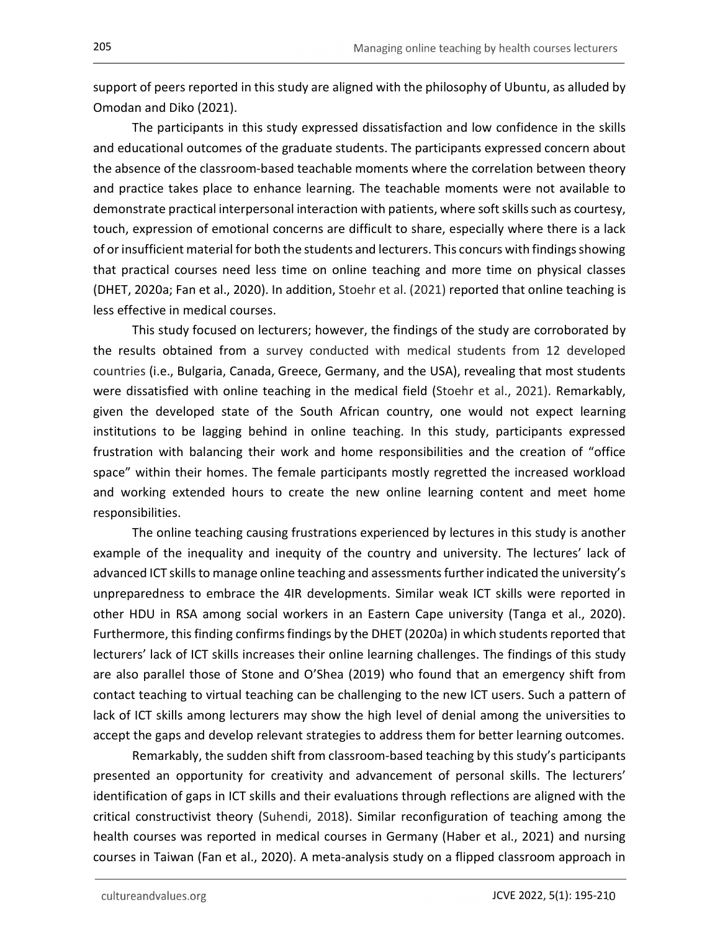support of peers reported in this study are aligned with the philosophy of Ubuntu, as alluded by Omodan and Diko (2021).

 The participants in this study expressed dissatisfaction and low confidence in the skills and educational outcomes of the graduate students. The participants expressed concern about the absence of the classroom-based teachable moments where the correlation between theory and practice takes place to enhance learning. The teachable moments were not available to demonstrate practical interpersonal interaction with patients, where soft skills such as courtesy, touch, expression of emotional concerns are difficult to share, especially where there is a lack of or insufficient material for both the students and lecturers. This concurs with findings showing that practical courses need less time on online teaching and more time on physical classes (DHET, 2020a; Fan et al., 2020). In addition, Stoehr et al. (2021) reported that online teaching is less effective in medical courses.

 This study focused on lecturers; however, the findings of the study are corroborated by the results obtained from a survey conducted with medical students from 12 developed countries (i.e., Bulgaria, Canada, Greece, Germany, and the USA), revealing that most students were dissatisfied with online teaching in the medical field (Stoehr et al., 2021). Remarkably, given the developed state of the South African country, one would not expect learning institutions to be lagging behind in online teaching. In this study, participants expressed frustration with balancing their work and home responsibilities and the creation of "office space" within their homes. The female participants mostly regretted the increased workload and working extended hours to create the new online learning content and meet home responsibilities.

 The online teaching causing frustrations experienced by lectures in this study is another example of the inequality and inequity of the country and university. The lectures' lack of advanced ICT skills to manage online teaching and assessments further indicated the university's unpreparedness to embrace the 4IR developments. Similar weak ICT skills were reported in other HDU in RSA among social workers in an Eastern Cape university (Tanga et al., 2020). Furthermore, this finding confirms findings by the DHET (2020a) in which students reported that lecturers' lack of ICT skills increases their online learning challenges. The findings of this study are also parallel those of Stone and O'Shea (2019) who found that an emergency shift from contact teaching to virtual teaching can be challenging to the new ICT users. Such a pattern of lack of ICT skills among lecturers may show the high level of denial among the universities to accept the gaps and develop relevant strategies to address them for better learning outcomes.

 Remarkably, the sudden shift from classroom-based teaching by this study's participants presented an opportunity for creativity and advancement of personal skills. The lecturers' identification of gaps in ICT skills and their evaluations through reflections are aligned with the critical constructivist theory (Suhendi, 2018). Similar reconfiguration of teaching among the health courses was reported in medical courses in Germany (Haber et al., 2021) and nursing courses in Taiwan (Fan et al., 2020). A meta-analysis study on a flipped classroom approach in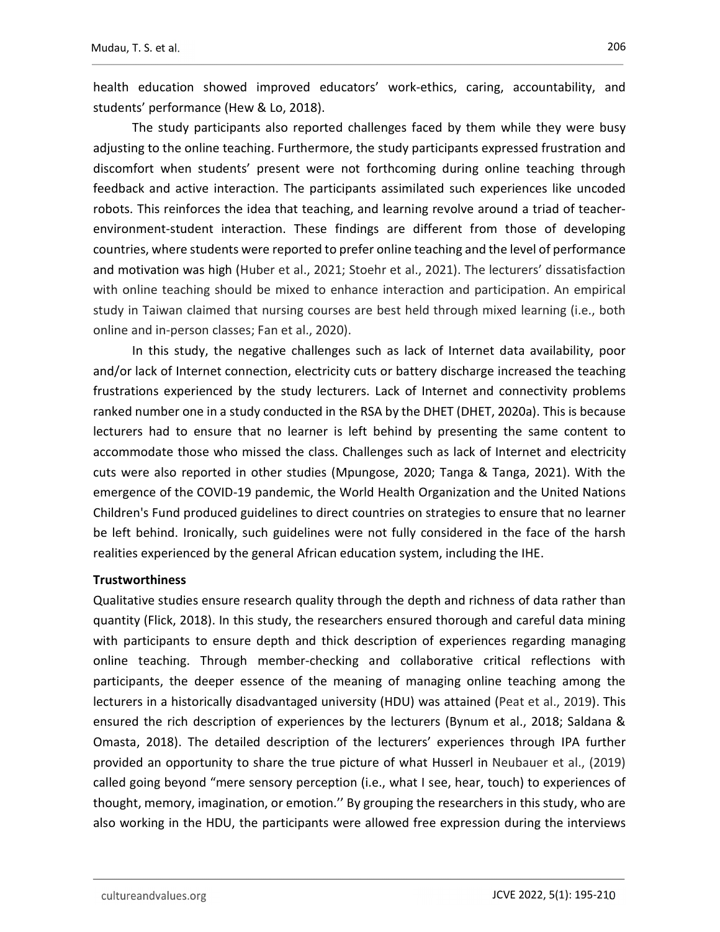health education showed improved educators' work-ethics, caring, accountability, and students' performance (Hew & Lo, 2018).

 The study participants also reported challenges faced by them while they were busy adjusting to the online teaching. Furthermore, the study participants expressed frustration and discomfort when students' present were not forthcoming during online teaching through feedback and active interaction. The participants assimilated such experiences like uncoded robots. This reinforces the idea that teaching, and learning revolve around a triad of teacherenvironment-student interaction. These findings are different from those of developing countries, where students were reported to prefer online teaching and the level of performance and motivation was high (Huber et al., 2021; Stoehr et al., 2021). The lecturers' dissatisfaction with online teaching should be mixed to enhance interaction and participation. An empirical study in Taiwan claimed that nursing courses are best held through mixed learning (i.e., both online and in-person classes; Fan et al., 2020).

 In this study, the negative challenges such as lack of Internet data availability, poor and/or lack of Internet connection, electricity cuts or battery discharge increased the teaching frustrations experienced by the study lecturers. Lack of Internet and connectivity problems ranked number one in a study conducted in the RSA by the DHET (DHET, 2020a). This is because lecturers had to ensure that no learner is left behind by presenting the same content to accommodate those who missed the class. Challenges such as lack of Internet and electricity cuts were also reported in other studies (Mpungose, 2020; Tanga & Tanga, 2021). With the emergence of the COVID-19 pandemic, the World Health Organization and the United Nations Children's Fund produced guidelines to direct countries on strategies to ensure that no learner be left behind. Ironically, such guidelines were not fully considered in the face of the harsh realities experienced by the general African education system, including the IHE.

### **Trustworthiness**

Qualitative studies ensure research quality through the depth and richness of data rather than quantity (Flick, 2018). In this study, the researchers ensured thorough and careful data mining with participants to ensure depth and thick description of experiences regarding managing online teaching. Through member-checking and collaborative critical reflections with participants, the deeper essence of the meaning of managing online teaching among the lecturers in a historically disadvantaged university (HDU) was attained (Peat et al., 2019). This ensured the rich description of experiences by the lecturers (Bynum et al., 2018; Saldana & Omasta, 2018). The detailed description of the lecturers' experiences through IPA further provided an opportunity to share the true picture of what Husserl in Neubauer et al., (2019) called going beyond "mere sensory perception (i.e., what I see, hear, touch) to experiences of thought, memory, imagination, or emotion.'' By grouping the researchers in this study, who are also working in the HDU, the participants were allowed free expression during the interviews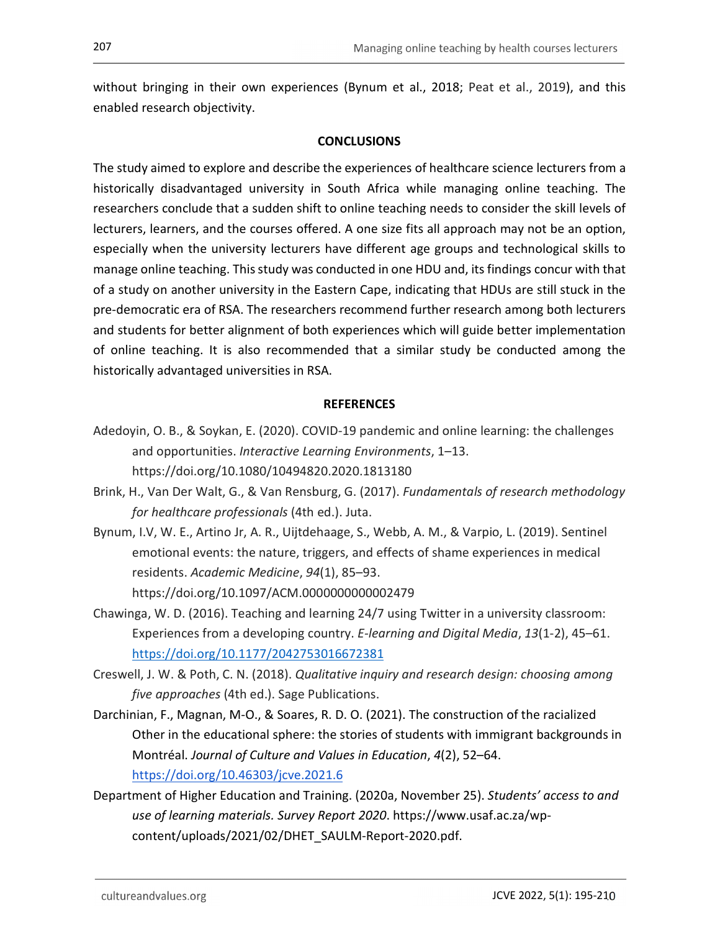without bringing in their own experiences (Bynum et al., 2018; Peat et al., 2019), and this enabled research objectivity.

### **CONCLUSIONS**

The study aimed to explore and describe the experiences of healthcare science lecturers from a historically disadvantaged university in South Africa while managing online teaching. The researchers conclude that a sudden shift to online teaching needs to consider the skill levels of lecturers, learners, and the courses offered. A one size fits all approach may not be an option, especially when the university lecturers have different age groups and technological skills to manage online teaching. This study was conducted in one HDU and, its findings concur with that of a study on another university in the Eastern Cape, indicating that HDUs are still stuck in the pre-democratic era of RSA. The researchers recommend further research among both lecturers and students for better alignment of both experiences which will guide better implementation of online teaching. It is also recommended that a similar study be conducted among the historically advantaged universities in RSA.

### **REFERENCES**

- Adedoyin, O. B., & Soykan, E. (2020). COVID-19 pandemic and online learning: the challenges and opportunities. Interactive Learning Environments, 1–13. https://doi.org/10.1080/10494820.2020.1813180
- Brink, H., Van Der Walt, G., & Van Rensburg, G. (2017). Fundamentals of research methodology for healthcare professionals (4th ed.). Juta.
- Bynum, I.V, W. E., Artino Jr, A. R., Uijtdehaage, S., Webb, A. M., & Varpio, L. (2019). Sentinel emotional events: the nature, triggers, and effects of shame experiences in medical residents. Academic Medicine, 94(1), 85–93.
	- https://doi.org/10.1097/ACM.0000000000002479
- Chawinga, W. D. (2016). Teaching and learning 24/7 using Twitter in a university classroom: Experiences from a developing country. E-learning and Digital Media, 13(1-2), 45–61. https://doi.org/10.1177/2042753016672381
- Creswell, J. W. & Poth, C. N. (2018). Qualitative inquiry and research design: choosing among five approaches (4th ed.). Sage Publications.
- Darchinian, F., Magnan, M-O., & Soares, R. D. O. (2021). The construction of the racialized Other in the educational sphere: the stories of students with immigrant backgrounds in Montréal. Journal of Culture and Values in Education, 4(2), 52–64. https://doi.org/10.46303/jcve.2021.6
- Department of Higher Education and Training. (2020a, November 25). Students' access to and use of learning materials. Survey Report 2020. https://www.usaf.ac.za/wpcontent/uploads/2021/02/DHET\_SAULM-Report-2020.pdf.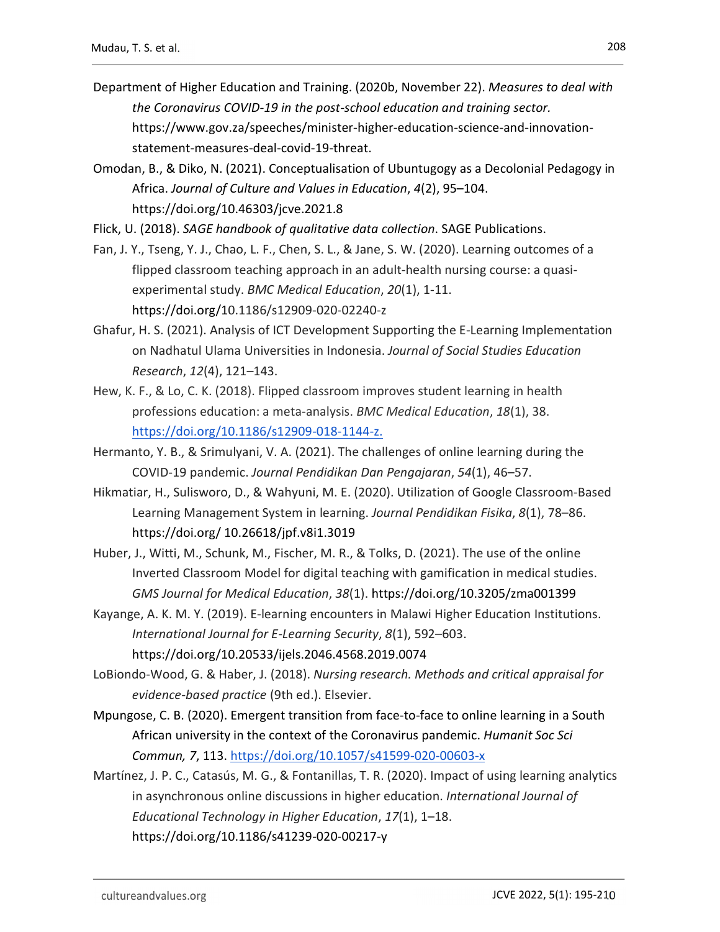- Department of Higher Education and Training. (2020b, November 22). Measures to deal with the Coronavirus COVID-19 in the post-school education and training sector. https://www.gov.za/speeches/minister-higher-education-science-and-innovationstatement-measures-deal-covid-19-threat.
- Omodan, B., & Diko, N. (2021). Conceptualisation of Ubuntugogy as a Decolonial Pedagogy in Africa. Journal of Culture and Values in Education, 4(2), 95–104. https://doi.org/10.46303/jcve.2021.8

Flick, U. (2018). SAGE handbook of qualitative data collection. SAGE Publications.

- Fan, J. Y., Tseng, Y. J., Chao, L. F., Chen, S. L., & Jane, S. W. (2020). Learning outcomes of a flipped classroom teaching approach in an adult-health nursing course: a quasiexperimental study. BMC Medical Education, 20(1), 1-11. https://doi.org/10.1186/s12909-020-02240-z
- Ghafur, H. S. (2021). Analysis of ICT Development Supporting the E-Learning Implementation on Nadhatul Ulama Universities in Indonesia. Journal of Social Studies Education Research, 12(4), 121–143.
- Hew, K. F., & Lo, C. K. (2018). Flipped classroom improves student learning in health professions education: a meta-analysis. BMC Medical Education, 18(1), 38. https://doi.org/10.1186/s12909-018-1144-z.
- Hermanto, Y. B., & Srimulyani, V. A. (2021). The challenges of online learning during the COVID-19 pandemic. Journal Pendidikan Dan Pengajaran, 54(1), 46–57.
- Hikmatiar, H., Sulisworo, D., & Wahyuni, M. E. (2020). Utilization of Google Classroom-Based Learning Management System in learning. Journal Pendidikan Fisika, 8(1), 78–86. https://doi.org/ 10.26618/jpf.v8i1.3019
- Huber, J., Witti, M., Schunk, M., Fischer, M. R., & Tolks, D. (2021). The use of the online Inverted Classroom Model for digital teaching with gamification in medical studies. GMS Journal for Medical Education, 38(1). https://doi.org/10.3205/zma001399
- Kayange, A. K. M. Y. (2019). E-learning encounters in Malawi Higher Education Institutions. International Journal for E-Learning Security, 8(1), 592–603. https://doi.org/10.20533/ijels.2046.4568.2019.0074
- LoBiondo-Wood, G. & Haber, J. (2018). Nursing research. Methods and critical appraisal for evidence-based practice (9th ed.). Elsevier.
- Mpungose, C. B. (2020). Emergent transition from face-to-face to online learning in a South African university in the context of the Coronavirus pandemic. Humanit Soc Sci Commun, 7, 113. https://doi.org/10.1057/s41599-020-00603-x
- Martínez, J. P. C., Catasús, M. G., & Fontanillas, T. R. (2020). Impact of using learning analytics in asynchronous online discussions in higher education. International Journal of Educational Technology in Higher Education, 17(1), 1–18. https://doi.org/10.1186/s41239-020-00217-y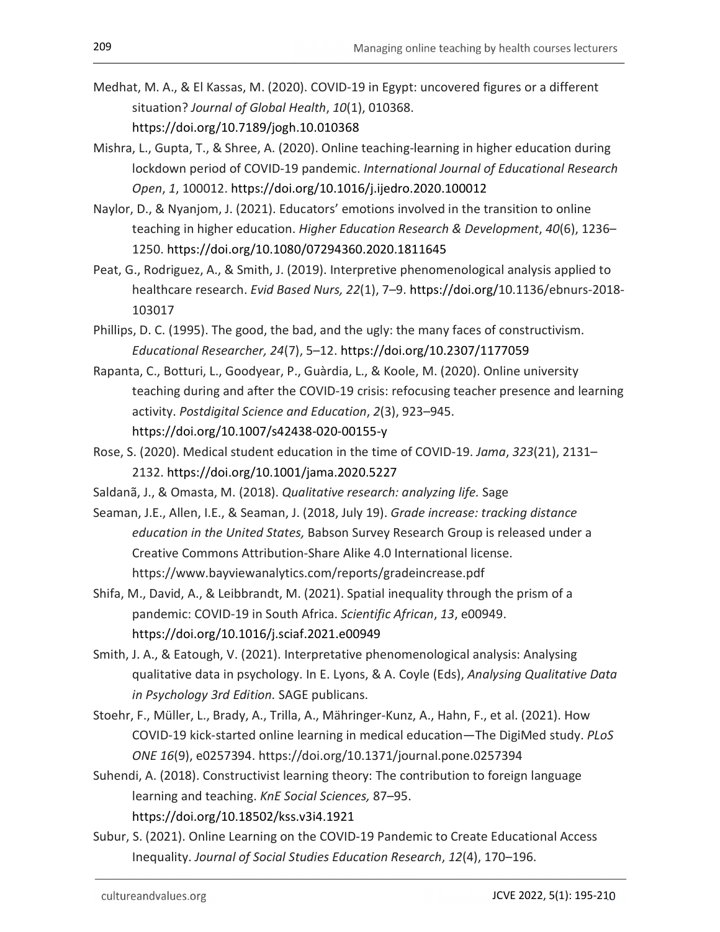- Medhat, M. A., & El Kassas, M. (2020). COVID-19 in Egypt: uncovered figures or a different situation? Journal of Global Health, 10(1), 010368. https://doi.org/10.7189/jogh.10.010368
- Mishra, L., Gupta, T., & Shree, A. (2020). Online teaching-learning in higher education during lockdown period of COVID-19 pandemic. International Journal of Educational Research Open, 1, 100012. https://doi.org/10.1016/j.ijedro.2020.100012
- Naylor, D., & Nyanjom, J. (2021). Educators' emotions involved in the transition to online teaching in higher education. Higher Education Research & Development, 40(6), 1236– 1250. https://doi.org/10.1080/07294360.2020.1811645
- Peat, G., Rodriguez, A., & Smith, J. (2019). Interpretive phenomenological analysis applied to healthcare research. Evid Based Nurs, 22(1), 7–9. https://doi.org/10.1136/ebnurs-2018- 103017
- Phillips, D. C. (1995). The good, the bad, and the ugly: the many faces of constructivism. Educational Researcher, 24(7), 5–12. https://doi.org/10.2307/1177059
- Rapanta, C., Botturi, L., Goodyear, P., Guàrdia, L., & Koole, M. (2020). Online university teaching during and after the COVID-19 crisis: refocusing teacher presence and learning activity. Postdigital Science and Education, 2(3), 923–945. https://doi.org/10.1007/s42438-020-00155-y
- Rose, S. (2020). Medical student education in the time of COVID-19. Jama, 323(21), 2131– 2132. https://doi.org/10.1001/jama.2020.5227
- Saldanã, J., & Omasta, M. (2018). Qualitative research: analyzing life. Sage
- Seaman, J.E., Allen, I.E., & Seaman, J. (2018, July 19). Grade increase: tracking distance education in the United States, Babson Survey Research Group is released under a Creative Commons Attribution-Share Alike 4.0 International license. https://www.bayviewanalytics.com/reports/gradeincrease.pdf
- Shifa, M., David, A., & Leibbrandt, M. (2021). Spatial inequality through the prism of a pandemic: COVID-19 in South Africa. Scientific African, 13, e00949. https://doi.org/10.1016/j.sciaf.2021.e00949
- Smith, J. A., & Eatough, V. (2021). Interpretative phenomenological analysis: Analysing qualitative data in psychology. In E. Lyons, & A. Coyle (Eds), Analysing Qualitative Data in Psychology 3rd Edition. SAGE publicans.
- Stoehr, F., Müller, L., Brady, A., Trilla, A., Mähringer-Kunz, A., Hahn, F., et al. (2021). How COVID-19 kick-started online learning in medical education—The DigiMed study. PLoS ONE 16(9), e0257394. https://doi.org/10.1371/journal.pone.0257394
- Suhendi, A. (2018). Constructivist learning theory: The contribution to foreign language learning and teaching. KnE Social Sciences, 87–95. https://doi.org/10.18502/kss.v3i4.1921
- Subur, S. (2021). Online Learning on the COVID-19 Pandemic to Create Educational Access Inequality. Journal of Social Studies Education Research, 12(4), 170–196.